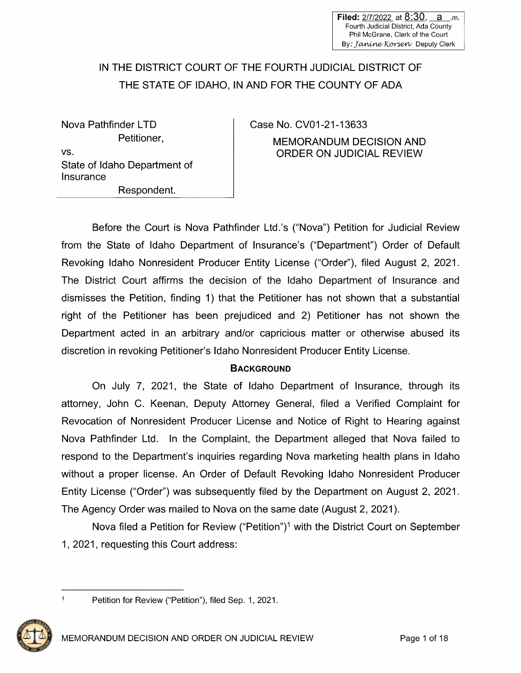# IN THE DISTRICT COURT OF THE FOURTH JUDICIAL DISTRICT OF THE STATE OF IDAHO, IN AND FOR THE COUNTY OF ADA

Nova Pathfinder LTD Petitioner, vs. State of Idaho Department of **Insurance** Respondent.

Case No. CV01-21-13633 MEMORANDUM DECISION AND ORDER ON JUDICIAL REVIEW

Before the Court is Nova Pathfinder Ltd.'s ("Nova") Petition for Judicial Review from the State of Idaho Department of Insurance's ("Department") Order of Default Revoking Idaho Nonresident Producer Entity License ("Order"), filed August 2, 2021. The District Court affirms the decision of the Idaho Department of Insurance and dismisses the Petition, finding 1) that the Petitioner has not shown that a substantial right of the Petitioner has been prejudiced and 2) Petitioner has not shown the Department acted in an arbitrary and/or capricious matter or otherwise abused its discretion in revoking Petitioner's Idaho Nonresident Producer Entity License.

#### **BACKGROUND**

On July 7, 2021, the State of Idaho Department of Insurance, through its attorney, John C. Keenan, Deputy Attorney General, filed a Verified Complaint for Revocation of Nonresident Producer License and Notice of Right to Hearing against Nova Pathfinder Ltd. In the Complaint, the Department alleged that Nova failed to respond to the Department's inquiries regarding Nova marketing health plans in Idaho without a proper license. An Order of Default Revoking Idaho Nonresident Producer Entity License ("Order") was subsequently filed by the Department on August 2, 2021. The Agency Order was mailed to Nova on the same date (August 2, 2021 ).

Nova filed a Petition for Review ("Petition")<sup>1</sup> with the District Court on September 1, 2021, requesting this Court address:

Petition for Review ("Petition"), filed Sep. 1, 2021.



 $\mathbf{1}$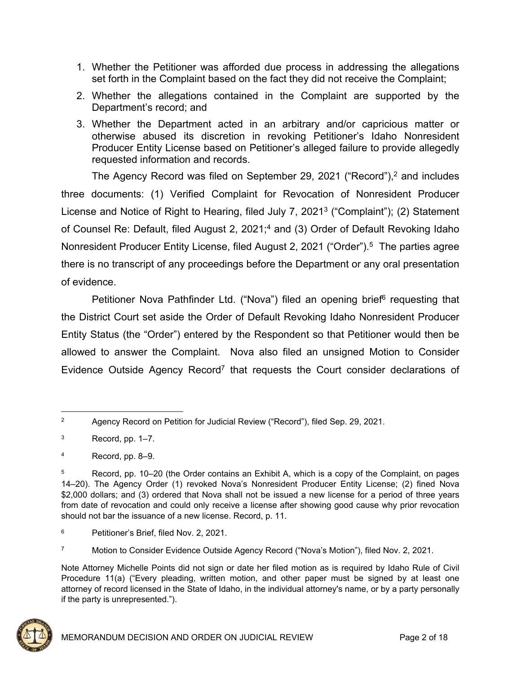- 1. Whether the Petitioner was afforded due process in addressing the allegations set forth in the Complaint based on the fact they did not receive the Complaint;
- 2. Whether the allegations contained in the Complaint are supported by the Department's record; and
- 3. Whether the Department acted in an arbitrary and/or capricious matter or otherwise abused its discretion in revoking Petitioner's Idaho Nonresident Producer Entity License based on Petitioner's alleged failure to provide allegedly requested information and records.

The Agency Record was filed on September 29, 2021 ("Record"),<sup>2</sup> and includes three documents: (1) Verified Complaint for Revocation of Nonresident Producer License and Notice of Right to Hearing, filed July 7, 2021<sup>3</sup> ("Complaint"); (2) Statement of Counsel Re: Default, filed August 2, 2021;<sup>4</sup> and (3) Order of Default Revoking Idaho Nonresident Producer Entity License, filed August 2, 2021 ("Order").<sup>5</sup> The parties agree there is no transcript of any proceedings before the Department or any oral presentation of evidence.

Petitioner Nova Pathfinder Ltd. ("Nova") filed an opening brief<sup>6</sup> requesting that the District Court set aside the Order of Default Revoking Idaho Nonresident Producer Entity Status (the "Order") entered by the Respondent so that Petitioner would then be allowed to answer the Complaint. Nova also filed an unsigned Motion to Consider Evidence Outside Agency Record<sup>7</sup> that requests the Court consider declarations of

Note Attorney Michelle Points did not sign or date her filed motion as is required by Idaho Rule of Civil Procedure 11(a) ("Every pleading, written motion, and other paper must be signed by at least one attorney of record licensed in the State of Idaho, in the individual attorney's name, or by a party personally if the party is unrepresented.").



<sup>2</sup> Agency Record on Petition for Judicial Review ("Record"), filed Sep. 29, 2021.

<sup>3</sup> Record, pp. 1–7.

<sup>4</sup> Record, pp. 8–9.

<sup>5</sup> Record, pp. 10–20 (the Order contains an Exhibit A, which is a copy of the Complaint, on pages 14–20). The Agency Order (1) revoked Nova's Nonresident Producer Entity License; (2) fined Nova \$2,000 dollars; and (3) ordered that Nova shall not be issued a new license for a period of three years from date of revocation and could only receive a license after showing good cause why prior revocation should not bar the issuance of a new license. Record, p. 11.

<sup>6</sup> Petitioner's Brief, filed Nov. 2, 2021.

<sup>7</sup> Motion to Consider Evidence Outside Agency Record ("Nova's Motion"), filed Nov. 2, 2021.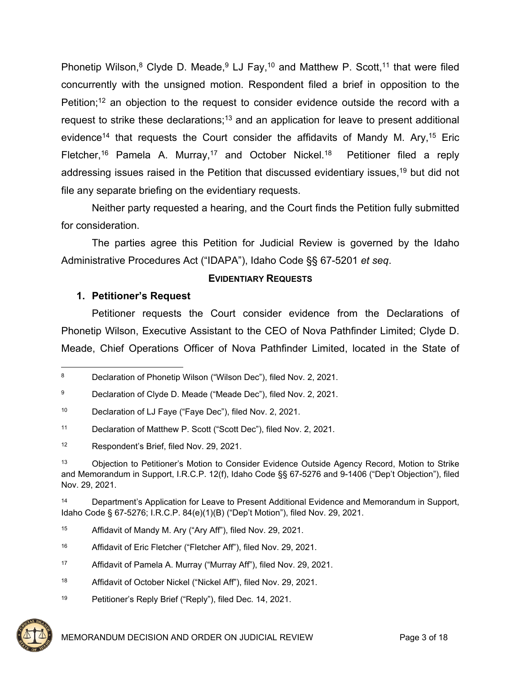Phonetip Wilson,<sup>8</sup> Clyde D. Meade,<sup>9</sup> LJ Fay,<sup>10</sup> and Matthew P. Scott,<sup>11</sup> that were filed concurrently with the unsigned motion. Respondent filed a brief in opposition to the Petition;<sup>12</sup> an objection to the request to consider evidence outside the record with a request to strike these declarations;<sup>13</sup> and an application for leave to present additional evidence<sup>14</sup> that requests the Court consider the affidavits of Mandy M. Ary,<sup>15</sup> Eric Fletcher,<sup>16</sup> Pamela A. Murray,<sup>17</sup> and October Nickel.<sup>18</sup> Petitioner filed a reply addressing issues raised in the Petition that discussed evidentiary issues,<sup>19</sup> but did not file any separate briefing on the evidentiary requests.

Neither party requested a hearing, and the Court finds the Petition fully submitted for consideration.

The parties agree this Petition for Judicial Review is governed by the Idaho Administrative Procedures Act ("IDAPA"), Idaho Code §§ 67-5201 *et seq*.

#### **EVIDENTIARY REQUESTS**

## **1. Petitioner's Request**

Petitioner requests the Court consider evidence from the Declarations of Phonetip Wilson, Executive Assistant to the CEO of Nova Pathfinder Limited; Clyde D. Meade, Chief Operations Officer of Nova Pathfinder Limited, located in the State of

- <sup>15</sup> Affidavit of Mandy M. Ary ("Ary Aff"), filed Nov. 29, 2021.
- <sup>16</sup> Affidavit of Eric Fletcher ("Fletcher Aff"), filed Nov. 29, 2021.
- <sup>17</sup> Affidavit of Pamela A. Murray ("Murray Aff"), filed Nov. 29, 2021.
- <sup>18</sup> Affidavit of October Nickel ("Nickel Aff"), filed Nov. 29, 2021.
- 19 Petitioner's Reply Brief ("Reply"), filed Dec. 14, 2021.



<sup>8</sup> Declaration of Phonetip Wilson ("Wilson Dec"), filed Nov. 2, 2021.

<sup>9</sup> Declaration of Clyde D. Meade ("Meade Dec"), filed Nov. 2, 2021.

<sup>10</sup> Declaration of LJ Faye ("Faye Dec"), filed Nov. 2, 2021.

<sup>11</sup> Declaration of Matthew P. Scott ("Scott Dec"), filed Nov. 2, 2021.

<sup>12</sup> Respondent's Brief, filed Nov. 29, 2021.

<sup>13</sup> Objection to Petitioner's Motion to Consider Evidence Outside Agency Record, Motion to Strike and Memorandum in Support, I.R.C.P. 12(f), Idaho Code §§ 67-5276 and 9-1406 ("Dep't Objection"), filed Nov. 29, 2021.

<sup>14</sup> Department's Application for Leave to Present Additional Evidence and Memorandum in Support, Idaho Code § 67-5276; I.R.C.P. 84(e)(1)(B) ("Dep't Motion"), filed Nov. 29, 2021.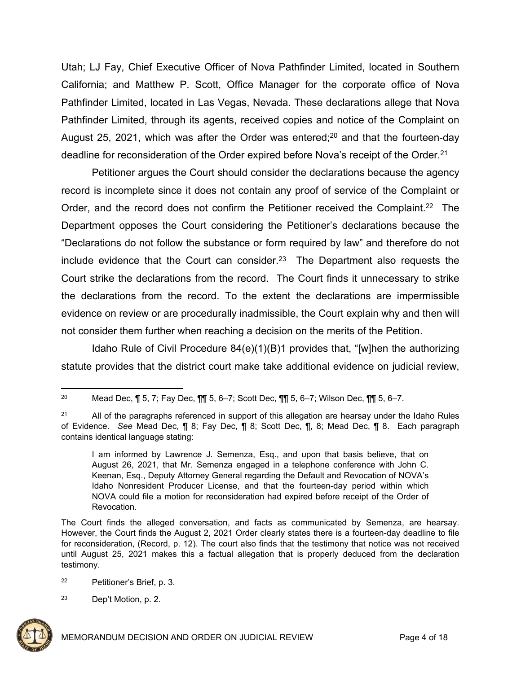Utah; LJ Fay, Chief Executive Officer of Nova Pathfinder Limited, located in Southern California; and Matthew P. Scott, Office Manager for the corporate office of Nova Pathfinder Limited, located in Las Vegas, Nevada. These declarations allege that Nova Pathfinder Limited, through its agents, received copies and notice of the Complaint on August 25, 2021, which was after the Order was entered;<sup>20</sup> and that the fourteen-day deadline for reconsideration of the Order expired before Nova's receipt of the Order.<sup>21</sup>

Petitioner argues the Court should consider the declarations because the agency record is incomplete since it does not contain any proof of service of the Complaint or Order, and the record does not confirm the Petitioner received the Complaint.<sup>22</sup> The Department opposes the Court considering the Petitioner's declarations because the "Declarations do not follow the substance or form required by law" and therefore do not include evidence that the Court can consider.<sup>23</sup> The Department also requests the Court strike the declarations from the record. The Court finds it unnecessary to strike the declarations from the record. To the extent the declarations are impermissible evidence on review or are procedurally inadmissible, the Court explain why and then will not consider them further when reaching a decision on the merits of the Petition.

Idaho Rule of Civil Procedure 84(e)(1)(B)1 provides that, "[w]hen the authorizing statute provides that the district court make take additional evidence on judicial review,

<sup>23</sup> Dep't Motion, p. 2.



<sup>&</sup>lt;sup>20</sup> Mead Dec, ¶ 5, 7; Fay Dec, ¶¶ 5, 6–7; Scott Dec, ¶¶ 5, 6–7; Wilson Dec, ¶¶ 5, 6–7.

<sup>&</sup>lt;sup>21</sup> All of the paragraphs referenced in support of this allegation are hearsay under the Idaho Rules of Evidence. *See* Mead Dec, ¶ 8; Fay Dec, ¶ 8; Scott Dec, ¶, 8; Mead Dec, ¶ 8. Each paragraph contains identical language stating:

I am informed by Lawrence J. Semenza, Esq., and upon that basis believe, that on August 26, 2021, that Mr. Semenza engaged in a telephone conference with John C. Keenan, Esq., Deputy Attorney General regarding the Default and Revocation of NOVA's Idaho Nonresident Producer License, and that the fourteen-day period within which NOVA could file a motion for reconsideration had expired before receipt of the Order of Revocation.

The Court finds the alleged conversation, and facts as communicated by Semenza, are hearsay. However, the Court finds the August 2, 2021 Order clearly states there is a fourteen-day deadline to file for reconsideration, (Record, p. 12). The court also finds that the testimony that notice was not received until August 25, 2021 makes this a factual allegation that is properly deduced from the declaration testimony.

<sup>22</sup> Petitioner's Brief, p. 3.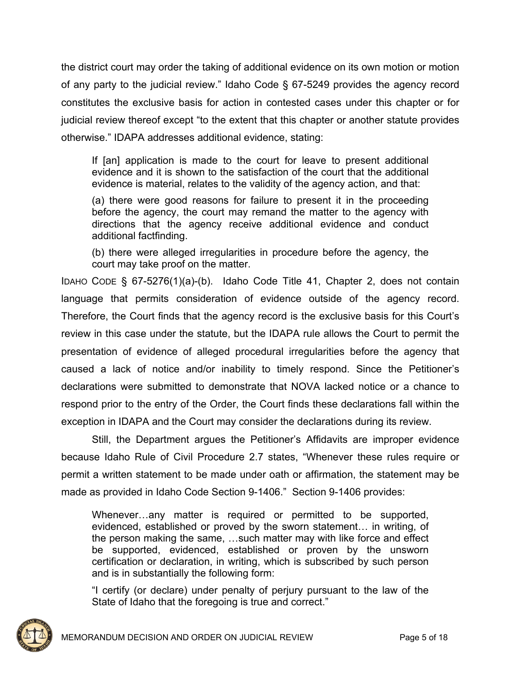the district court may order the taking of additional evidence on its own motion or motion of any party to the judicial review." Idaho Code § 67-5249 provides the agency record constitutes the exclusive basis for action in contested cases under this chapter or for judicial review thereof except "to the extent that this chapter or another statute provides otherwise." IDAPA addresses additional evidence, stating:

If [an] application is made to the court for leave to present additional evidence and it is shown to the satisfaction of the court that the additional evidence is material, relates to the validity of the agency action, and that:

(a) there were good reasons for failure to present it in the proceeding before the agency, the court may remand the matter to the agency with directions that the agency receive additional evidence and conduct additional factfinding.

(b) there were alleged irregularities in procedure before the agency, the court may take proof on the matter.

IDAHO CODE § 67-5276(1)(a)-(b). Idaho Code Title 41, Chapter 2, does not contain language that permits consideration of evidence outside of the agency record. Therefore, the Court finds that the agency record is the exclusive basis for this Court's review in this case under the statute, but the IDAPA rule allows the Court to permit the presentation of evidence of alleged procedural irregularities before the agency that caused a lack of notice and/or inability to timely respond. Since the Petitioner's declarations were submitted to demonstrate that NOVA lacked notice or a chance to respond prior to the entry of the Order, the Court finds these declarations fall within the exception in IDAPA and the Court may consider the declarations during its review.

Still, the Department argues the Petitioner's Affidavits are improper evidence because Idaho Rule of Civil Procedure 2.7 states, "Whenever these rules require or permit a written statement to be made under oath or affirmation, the statement may be made as provided in Idaho Code Section 9-1406." Section 9-1406 provides:

Whenever…any matter is required or permitted to be supported, evidenced, established or proved by the sworn statement… in writing, of the person making the same, …such matter may with like force and effect be supported, evidenced, established or proven by the unsworn certification or declaration, in writing, which is subscribed by such person and is in substantially the following form:

"I certify (or declare) under penalty of perjury pursuant to the law of the State of Idaho that the foregoing is true and correct."

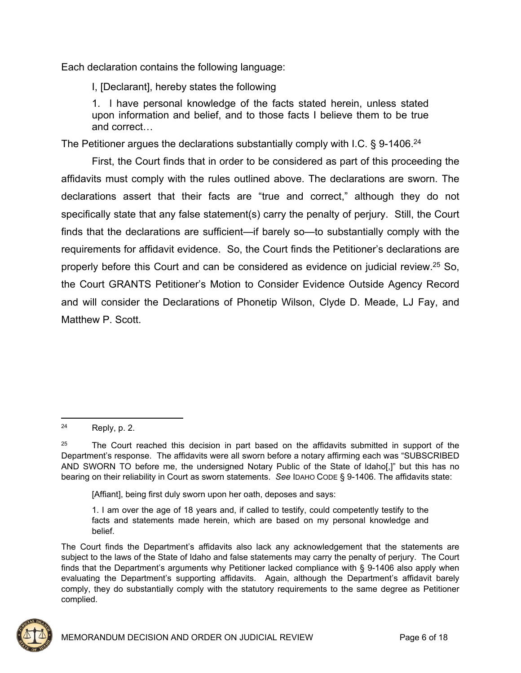Each declaration contains the following language:

I, [Declarant], hereby states the following

1. l have personal knowledge of the facts stated herein, unless stated upon information and belief, and to those facts I believe them to be true and correct…

The Petitioner argues the declarations substantially comply with I.C.  $\S$  9-1406.<sup>24</sup>

First, the Court finds that in order to be considered as part of this proceeding the affidavits must comply with the rules outlined above. The declarations are sworn. The declarations assert that their facts are "true and correct," although they do not specifically state that any false statement(s) carry the penalty of perjury. Still, the Court finds that the declarations are sufficient—if barely so—to substantially comply with the requirements for affidavit evidence. So, the Court finds the Petitioner's declarations are properly before this Court and can be considered as evidence on judicial review.<sup>25</sup> So, the Court GRANTS Petitioner's Motion to Consider Evidence Outside Agency Record and will consider the Declarations of Phonetip Wilson, Clyde D. Meade, LJ Fay, and Matthew P. Scott.

[Affiant], being first duly sworn upon her oath, deposes and says:

The Court finds the Department's affidavits also lack any acknowledgement that the statements are subject to the laws of the State of Idaho and false statements may carry the penalty of perjury. The Court finds that the Department's arguments why Petitioner lacked compliance with § 9-1406 also apply when evaluating the Department's supporting affidavits. Again, although the Department's affidavit barely comply, they do substantially comply with the statutory requirements to the same degree as Petitioner complied.



<sup>24</sup> Reply, p. 2.

 $25$  The Court reached this decision in part based on the affidavits submitted in support of the Department's response. The affidavits were all sworn before a notary affirming each was "SUBSCRIBED AND SWORN TO before me, the undersigned Notary Public of the State of ldaho[,]" but this has no bearing on their reliability in Court as sworn statements. *See* IDAHO CODE § 9-1406. The affidavits state:

<sup>1.</sup> I am over the age of 18 years and, if called to testify, could competently testify to the facts and statements made herein, which are based on my personal knowledge and belief.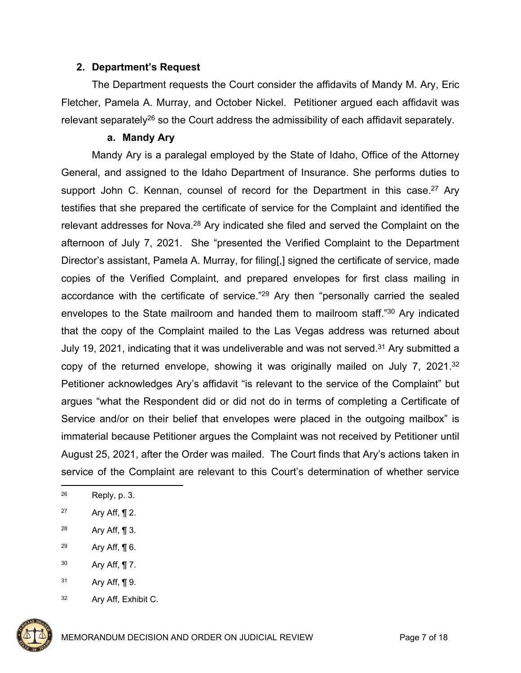#### **2. Department's Request**

The Department requests the Court consider the affidavits of Mandy M. Ary, Eric Fletcher, Pamela A. Murray, and October Nickel. Petitioner argued each affidavit was relevant separately<sup>26</sup> so the Court address the admissibility of each affidavit separately.

#### **a. Mandy Ary**

Mandy Ary is a paralegal employed by the State of Idaho, Office of the Attorney General, and assigned to the Idaho Department of Insurance. She performs duties to support John C. Kennan, counsel of record for the Department in this case.<sup>27</sup> Ary testifies that she prepared the certificate of service for the Complaint and identified the relevant addresses for Nova.<sup>28</sup> Ary indicated she filed and served the Complaint on the afternoon of July 7, 2021. She "presented the Verified Complaint to the Department Director's assistant, Pamela A. Murray, for filing[,] signed the certificate of service, made copies of the Verified Complaint, and prepared envelopes for first class mailing in accordance with the certificate of service."<sup>29</sup> Ary then "personally carried the sealed envelopes to the State mailroom and handed them to mailroom staff."<sup>30</sup> Ary indicated that the copy of the Complaint mailed to the Las Vegas address was returned about July 19, 2021, indicating that it was undeliverable and was not served.<sup>31</sup> Ary submitted a copy of the returned envelope, showing it was originally mailed on July 7, 2021.<sup>32</sup> Petitioner acknowledges Ary's affidavit "is relevant to the service of the Complaint" but argues "what the Respondent did or did not do in terms of completing a Certificate of Service and/or on their belief that envelopes were placed in the outgoing mailbox" is immaterial because Petitioner argues the Complaint was not received by Petitioner until August 25, 2021, after the Order was mailed. The Court finds that Ary's actions taken in service of the Complaint are relevant to this Court's determination of whether service

- $30$  Ary Aff, ¶ 7.
- $31$  Ary Aff, ¶ 9.
- 32 Ary Aff, Exhibit C.



<sup>26</sup> Reply, p. 3.

<sup>27</sup> Ary Aff,  $\P$  2.

<sup>28</sup> Ary Aff, ¶ 3.

<sup>&</sup>lt;sup>29</sup> Ary Aff,  $\P$  6.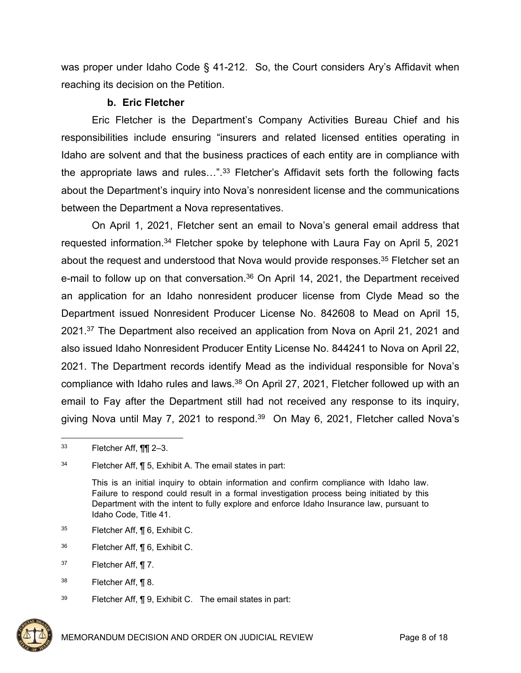was proper under Idaho Code § 41-212. So, the Court considers Ary's Affidavit when reaching its decision on the Petition.

# **b. Eric Fletcher**

Eric Fletcher is the Department's Company Activities Bureau Chief and his responsibilities include ensuring "insurers and related licensed entities operating in Idaho are solvent and that the business practices of each entity are in compliance with the appropriate laws and rules…".<sup>33</sup> Fletcher's Affidavit sets forth the following facts about the Department's inquiry into Nova's nonresident license and the communications between the Department a Nova representatives.

On April 1, 2021, Fletcher sent an email to Nova's general email address that requested information.<sup>34</sup> Fletcher spoke by telephone with Laura Fay on April 5, 2021 about the request and understood that Nova would provide responses.<sup>35</sup> Fletcher set an e-mail to follow up on that conversation.<sup>36</sup> On April 14, 2021, the Department received an application for an Idaho nonresident producer license from Clyde Mead so the Department issued Nonresident Producer License No. 842608 to Mead on April 15, 2021.<sup>37</sup> The Department also received an application from Nova on April 21, 2021 and also issued Idaho Nonresident Producer Entity License No. 844241 to Nova on April 22, 2021. The Department records identify Mead as the individual responsible for Nova's compliance with Idaho rules and laws.<sup>38</sup> On April 27, 2021, Fletcher followed up with an email to Fay after the Department still had not received any response to its inquiry, giving Nova until May 7, 2021 to respond.<sup>39</sup> On May 6, 2021, Fletcher called Nova's

- <sup>35</sup> Fletcher Aff, ¶ 6, Exhibit C.
- <sup>36</sup> Fletcher Aff, ¶ 6, Exhibit C.
- $37$  Fletcher Aff, ¶ 7.

<sup>39</sup> Fletcher Aff, ¶ 9, Exhibit C. The email states in part:



 $33$  Fletcher Aff,  $\P\P$  2–3.

<sup>34</sup> Fletcher Aff, ¶ 5, Exhibit A. The email states in part:

This is an initial inquiry to obtain information and confirm compliance with Idaho law. Failure to respond could result in a formal investigation process being initiated by this Department with the intent to fully explore and enforce Idaho Insurance law, pursuant to Idaho Code, Title 41.

<sup>38</sup> Fletcher Aff, ¶ 8.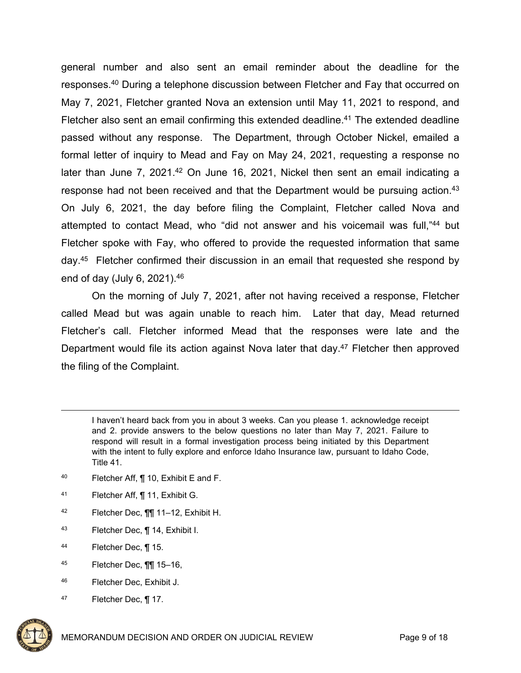general number and also sent an email reminder about the deadline for the responses.<sup>40</sup> During a telephone discussion between Fletcher and Fay that occurred on May 7, 2021, Fletcher granted Nova an extension until May 11, 2021 to respond, and Fletcher also sent an email confirming this extended deadline.<sup>41</sup> The extended deadline passed without any response. The Department, through October Nickel, emailed a formal letter of inquiry to Mead and Fay on May 24, 2021, requesting a response no later than June 7, 2021.<sup>42</sup> On June 16, 2021, Nickel then sent an email indicating a response had not been received and that the Department would be pursuing action.<sup>43</sup> On July 6, 2021, the day before filing the Complaint, Fletcher called Nova and attempted to contact Mead, who "did not answer and his voicemail was full,"<sup>44</sup> but Fletcher spoke with Fay, who offered to provide the requested information that same day.<sup>45</sup> Fletcher confirmed their discussion in an email that requested she respond by end of day (July 6, 2021).<sup>46</sup>

On the morning of July 7, 2021, after not having received a response, Fletcher called Mead but was again unable to reach him. Later that day, Mead returned Fletcher's call. Fletcher informed Mead that the responses were late and the Department would file its action against Nova later that day.<sup>47</sup> Fletcher then approved the filing of the Complaint.

- <sup>40</sup> Fletcher Aff, ¶ 10, Exhibit E and F.
- <sup>41</sup> Fletcher Aff, ¶ 11, Exhibit G.
- <sup>42</sup> Fletcher Dec, ¶¶ 11–12, Exhibit H.
- <sup>43</sup> Fletcher Dec, ¶ 14, Exhibit I.
- <sup>44</sup> Fletcher Dec, ¶ 15.
- <sup>45</sup> Fletcher Dec, ¶¶ 15–16,
- <sup>46</sup> Fletcher Dec, Exhibit J.
- 47 Fletcher Dec, ¶ 17.



I haven't heard back from you in about 3 weeks. Can you please 1. acknowledge receipt and 2. provide answers to the below questions no later than May 7, 2021. Failure to respond will result in a formal investigation process being initiated by this Department with the intent to fully explore and enforce Idaho Insurance law, pursuant to Idaho Code, Title 41.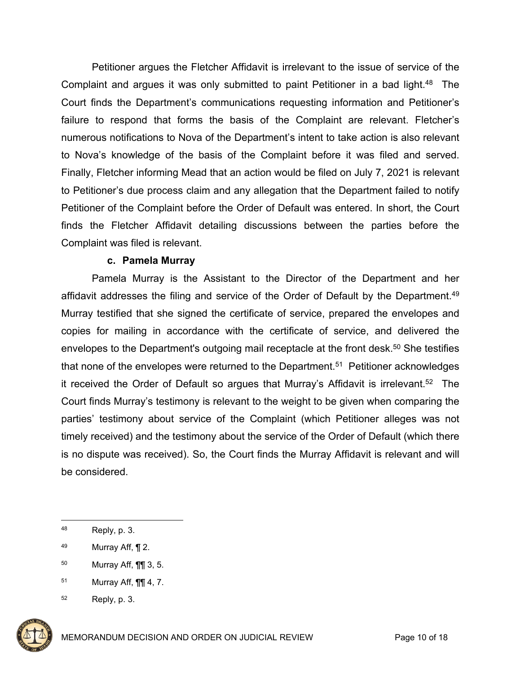Petitioner argues the Fletcher Affidavit is irrelevant to the issue of service of the Complaint and argues it was only submitted to paint Petitioner in a bad light.<sup>48</sup> The Court finds the Department's communications requesting information and Petitioner's failure to respond that forms the basis of the Complaint are relevant. Fletcher's numerous notifications to Nova of the Department's intent to take action is also relevant to Nova's knowledge of the basis of the Complaint before it was filed and served. Finally, Fletcher informing Mead that an action would be filed on July 7, 2021 is relevant to Petitioner's due process claim and any allegation that the Department failed to notify Petitioner of the Complaint before the Order of Default was entered. In short, the Court finds the Fletcher Affidavit detailing discussions between the parties before the Complaint was filed is relevant.

# **c. Pamela Murray**

Pamela Murray is the Assistant to the Director of the Department and her affidavit addresses the filing and service of the Order of Default by the Department.<sup>49</sup> Murray testified that she signed the certificate of service, prepared the envelopes and copies for mailing in accordance with the certificate of service, and delivered the envelopes to the Department's outgoing mail receptacle at the front desk.<sup>50</sup> She testifies that none of the envelopes were returned to the Department.<sup>51</sup> Petitioner acknowledges it received the Order of Default so argues that Murray's Affidavit is irrelevant.<sup>52</sup> The Court finds Murray's testimony is relevant to the weight to be given when comparing the parties' testimony about service of the Complaint (which Petitioner alleges was not timely received) and the testimony about the service of the Order of Default (which there is no dispute was received). So, the Court finds the Murray Affidavit is relevant and will be considered.

- <sup>50</sup> Murray Aff, ¶¶ 3, 5.
- <sup>51</sup> Murray Aff, ¶¶ 4, 7.

<sup>52</sup> Reply, p. 3.



<sup>48</sup> Reply, p. 3.

 $49$  Murray Aff,  $\P$  2.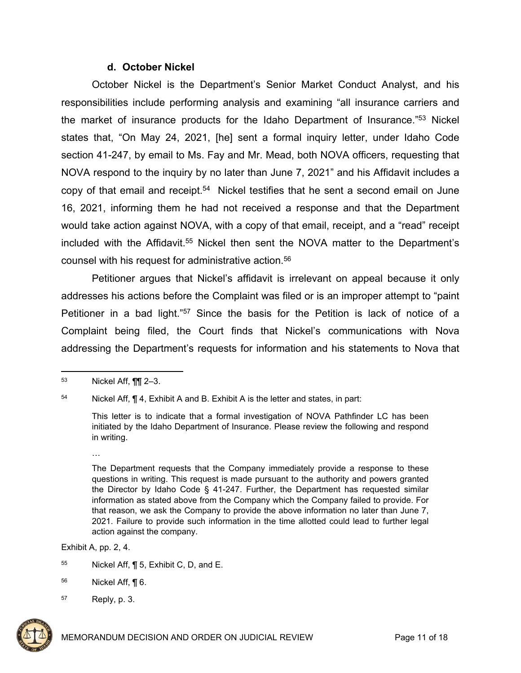#### **d. October Nickel**

October Nickel is the Department's Senior Market Conduct Analyst, and his responsibilities include performing analysis and examining "all insurance carriers and the market of insurance products for the Idaho Department of Insurance."<sup>53</sup> Nickel states that, "On May 24, 2021, [he] sent a formal inquiry letter, under Idaho Code section 41-247, by email to Ms. Fay and Mr. Mead, both NOVA officers, requesting that NOVA respond to the inquiry by no later than June 7, 2021" and his Affidavit includes a copy of that email and receipt.<sup>54</sup> Nickel testifies that he sent a second email on June 16, 2021, informing them he had not received a response and that the Department would take action against NOVA, with a copy of that email, receipt, and a "read" receipt included with the Affidavit.<sup>55</sup> Nickel then sent the NOVA matter to the Department's counsel with his request for administrative action.<sup>56</sup>

Petitioner argues that Nickel's affidavit is irrelevant on appeal because it only addresses his actions before the Complaint was filed or is an improper attempt to "paint Petitioner in a bad light."<sup>57</sup> Since the basis for the Petition is lack of notice of a Complaint being filed, the Court finds that Nickel's communications with Nova addressing the Department's requests for information and his statements to Nova that

Exhibit A, pp. 2, 4.

- <sup>55</sup> Nickel Aff,  $\P$  5, Exhibit C, D, and E.
- <sup>56</sup> Nickel Aff, ¶ 6.

<sup>57</sup> Reply, p. 3.



<sup>53</sup> Nickel Aff, ¶¶ 2–3.

<sup>54</sup> Nickel Aff, ¶ 4, Exhibit A and B. Exhibit A is the letter and states, in part:

This letter is to indicate that a formal investigation of NOVA Pathfinder LC has been initiated by the Idaho Department of Insurance. Please review the following and respond in writing.

<sup>…</sup>

The Department requests that the Company immediately provide a response to these questions in writing. This request is made pursuant to the authority and powers granted the Director by Idaho Code § 41-247. Further, the Department has requested similar information as stated above from the Company which the Company failed to provide. For that reason, we ask the Company to provide the above information no later than June 7, 2021. Failure to provide such information in the time allotted could lead to further legal action against the company.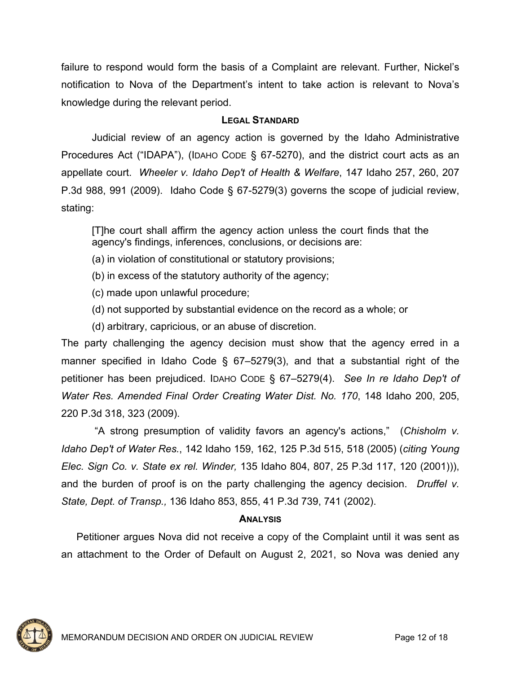failure to respond would form the basis of a Complaint are relevant. Further, Nickel's notification to Nova of the Department's intent to take action is relevant to Nova's knowledge during the relevant period.

## **LEGAL STANDARD**

Judicial review of an agency action is governed by the Idaho Administrative Procedures Act ("IDAPA"), (IDAHO CODE § 67-5270), and the district court acts as an appellate court. *Wheeler v. Idaho Dep't of Health & Welfare*, 147 Idaho 257, 260, 207 P.3d 988, 991 (2009). Idaho Code § 67-5279(3) governs the scope of judicial review, stating:

[T]he court shall affirm the agency action unless the court finds that the agency's findings, inferences, conclusions, or decisions are:

- (a) in violation of constitutional or statutory provisions;
- (b) in excess of the statutory authority of the agency;
- (c) made upon unlawful procedure;
- (d) not supported by substantial evidence on the record as a whole; or
- (d) arbitrary, capricious, or an abuse of discretion.

The party challenging the agency decision must show that the agency erred in a manner specified in Idaho Code § 67–5279(3), and that a substantial right of the petitioner has been prejudiced. IDAHO CODE § 67–5279(4). *See In re Idaho Dep't of Water Res. Amended Final Order Creating Water Dist. No. 170*, 148 Idaho 200, 205, 220 P.3d 318, 323 (2009).

 "A strong presumption of validity favors an agency's actions," (*Chisholm v. Idaho Dep't of Water Res.*, 142 Idaho 159, 162, 125 P.3d 515, 518 (2005) (*citing Young Elec. Sign Co. v. State ex rel. Winder,* 135 Idaho 804, 807, 25 P.3d 117, 120 (2001))), and the burden of proof is on the party challenging the agency decision. *Druffel v. State, Dept. of Transp.,* 136 Idaho 853, 855, 41 P.3d 739, 741 (2002).

#### **ANALYSIS**

Petitioner argues Nova did not receive a copy of the Complaint until it was sent as an attachment to the Order of Default on August 2, 2021, so Nova was denied any

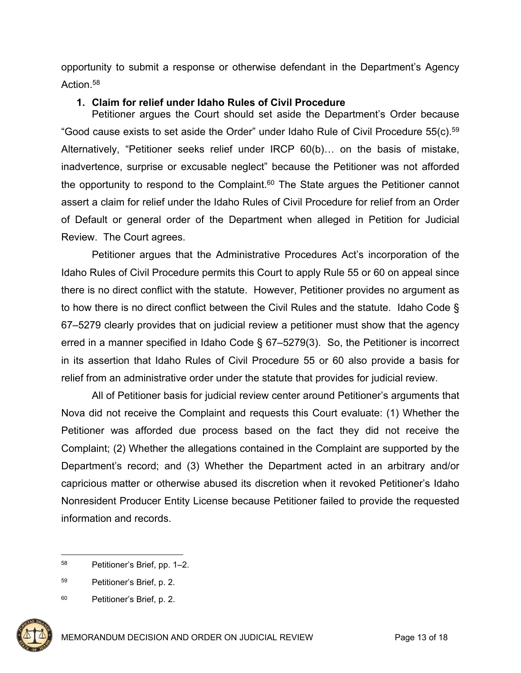opportunity to submit a response or otherwise defendant in the Department's Agency Action.<sup>58</sup>

## **1. Claim for relief under Idaho Rules of Civil Procedure**

Petitioner argues the Court should set aside the Department's Order because "Good cause exists to set aside the Order" under Idaho Rule of Civil Procedure 55(c).<sup>59</sup> Alternatively, "Petitioner seeks relief under IRCP 60(b)… on the basis of mistake, inadvertence, surprise or excusable neglect" because the Petitioner was not afforded the opportunity to respond to the Complaint. $60$  The State argues the Petitioner cannot assert a claim for relief under the Idaho Rules of Civil Procedure for relief from an Order of Default or general order of the Department when alleged in Petition for Judicial Review. The Court agrees.

Petitioner argues that the Administrative Procedures Act's incorporation of the Idaho Rules of Civil Procedure permits this Court to apply Rule 55 or 60 on appeal since there is no direct conflict with the statute. However, Petitioner provides no argument as to how there is no direct conflict between the Civil Rules and the statute. Idaho Code § 67–5279 clearly provides that on judicial review a petitioner must show that the agency erred in a manner specified in Idaho Code § 67–5279(3). So, the Petitioner is incorrect in its assertion that Idaho Rules of Civil Procedure 55 or 60 also provide a basis for relief from an administrative order under the statute that provides for judicial review.

All of Petitioner basis for judicial review center around Petitioner's arguments that Nova did not receive the Complaint and requests this Court evaluate: (1) Whether the Petitioner was afforded due process based on the fact they did not receive the Complaint; (2) Whether the allegations contained in the Complaint are supported by the Department's record; and (3) Whether the Department acted in an arbitrary and/or capricious matter or otherwise abused its discretion when it revoked Petitioner's Idaho Nonresident Producer Entity License because Petitioner failed to provide the requested information and records.

<sup>60</sup> Petitioner's Brief, p. 2.



<sup>58</sup> Petitioner's Brief, pp. 1–2.

<sup>59</sup> Petitioner's Brief, p. 2.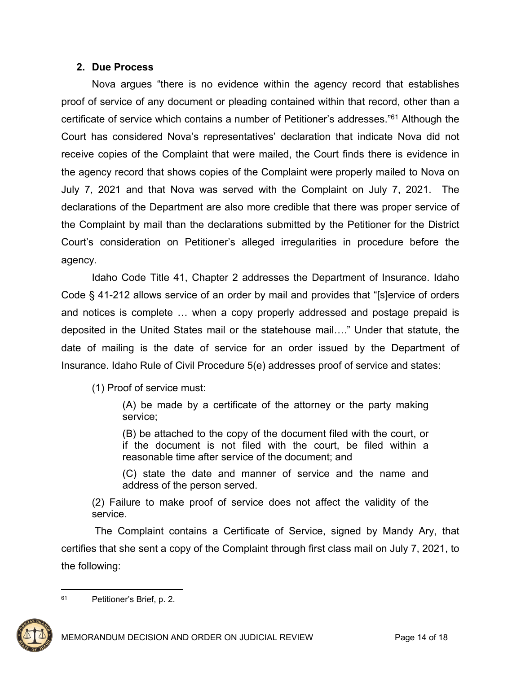# **2. Due Process**

Nova argues "there is no evidence within the agency record that establishes proof of service of any document or pleading contained within that record, other than a certificate of service which contains a number of Petitioner's addresses."<sup>61</sup> Although the Court has considered Nova's representatives' declaration that indicate Nova did not receive copies of the Complaint that were mailed, the Court finds there is evidence in the agency record that shows copies of the Complaint were properly mailed to Nova on July 7, 2021 and that Nova was served with the Complaint on July 7, 2021. The declarations of the Department are also more credible that there was proper service of the Complaint by mail than the declarations submitted by the Petitioner for the District Court's consideration on Petitioner's alleged irregularities in procedure before the agency.

Idaho Code Title 41, Chapter 2 addresses the Department of Insurance. Idaho Code § 41-212 allows service of an order by mail and provides that "[s]ervice of orders and notices is complete … when a copy properly addressed and postage prepaid is deposited in the United States mail or the statehouse mail…." Under that statute, the date of mailing is the date of service for an order issued by the Department of Insurance. Idaho Rule of Civil Procedure 5(e) addresses proof of service and states:

(1) Proof of service must:

(A) be made by a certificate of the attorney or the party making service;

(B) be attached to the copy of the document filed with the court, or if the document is not filed with the court, be filed within a reasonable time after service of the document; and

(C) state the date and manner of service and the name and address of the person served.

(2) Failure to make proof of service does not affect the validity of the service.

 The Complaint contains a Certificate of Service, signed by Mandy Ary, that certifies that she sent a copy of the Complaint through first class mail on July 7, 2021, to the following:

<sup>61</sup> Petitioner's Brief, p. 2.

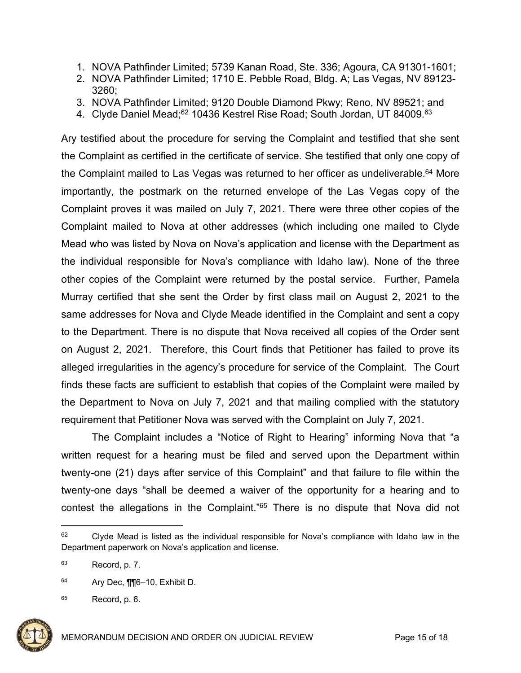- 1. NOVA Pathfinder Limited; 5739 Kanan Road, Ste. 336; Agoura, CA 91301-1601;
- 2. NOVA Pathfinder Limited; 1710 E. Pebble Road, Bldg. A; Las Vegas, NV 89123- 3260;
- 3. NOVA Pathfinder Limited; 9120 Double Diamond Pkwy; Reno, NV 89521; and
- 4. Clyde Daniel Mead;<sup>62</sup> 10436 Kestrel Rise Road; South Jordan, UT 84009.<sup>63</sup>

Ary testified about the procedure for serving the Complaint and testified that she sent the Complaint as certified in the certificate of service. She testified that only one copy of the Complaint mailed to Las Vegas was returned to her officer as undeliverable.<sup>64</sup> More importantly, the postmark on the returned envelope of the Las Vegas copy of the Complaint proves it was mailed on July 7, 2021. There were three other copies of the Complaint mailed to Nova at other addresses (which including one mailed to Clyde Mead who was listed by Nova on Nova's application and license with the Department as the individual responsible for Nova's compliance with Idaho law). None of the three other copies of the Complaint were returned by the postal service. Further, Pamela Murray certified that she sent the Order by first class mail on August 2, 2021 to the same addresses for Nova and Clyde Meade identified in the Complaint and sent a copy to the Department. There is no dispute that Nova received all copies of the Order sent on August 2, 2021. Therefore, this Court finds that Petitioner has failed to prove its alleged irregularities in the agency's procedure for service of the Complaint. The Court finds these facts are sufficient to establish that copies of the Complaint were mailed by the Department to Nova on July 7, 2021 and that mailing complied with the statutory requirement that Petitioner Nova was served with the Complaint on July 7, 2021.

The Complaint includes a "Notice of Right to Hearing" informing Nova that "a written request for a hearing must be filed and served upon the Department within twenty-one (21) days after service of this Complaint" and that failure to file within the twenty-one days "shall be deemed a waiver of the opportunity for a hearing and to contest the allegations in the Complaint."<sup>65</sup> There is no dispute that Nova did not

 $65$  Record, p. 6.



<sup>&</sup>lt;sup>62</sup> Clyde Mead is listed as the individual responsible for Nova's compliance with Idaho law in the Department paperwork on Nova's application and license.

 $63$  Record, p. 7.

<sup>64</sup> Ary Dec, ¶¶6–10, Exhibit D.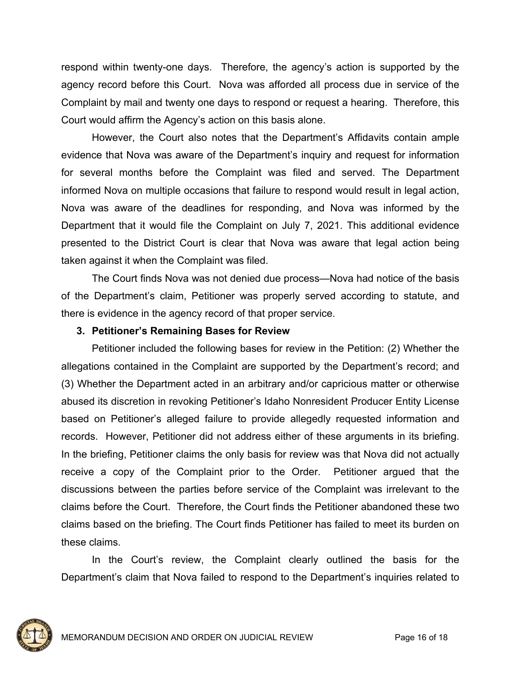respond within twenty-one days. Therefore, the agency's action is supported by the agency record before this Court. Nova was afforded all process due in service of the Complaint by mail and twenty one days to respond or request a hearing. Therefore, this Court would affirm the Agency's action on this basis alone.

However, the Court also notes that the Department's Affidavits contain ample evidence that Nova was aware of the Department's inquiry and request for information for several months before the Complaint was filed and served. The Department informed Nova on multiple occasions that failure to respond would result in legal action, Nova was aware of the deadlines for responding, and Nova was informed by the Department that it would file the Complaint on July 7, 2021. This additional evidence presented to the District Court is clear that Nova was aware that legal action being taken against it when the Complaint was filed.

The Court finds Nova was not denied due process—Nova had notice of the basis of the Department's claim, Petitioner was properly served according to statute, and there is evidence in the agency record of that proper service.

# **3. Petitioner's Remaining Bases for Review**

Petitioner included the following bases for review in the Petition: (2) Whether the allegations contained in the Complaint are supported by the Department's record; and (3) Whether the Department acted in an arbitrary and/or capricious matter or otherwise abused its discretion in revoking Petitioner's Idaho Nonresident Producer Entity License based on Petitioner's alleged failure to provide allegedly requested information and records. However, Petitioner did not address either of these arguments in its briefing. In the briefing, Petitioner claims the only basis for review was that Nova did not actually receive a copy of the Complaint prior to the Order. Petitioner argued that the discussions between the parties before service of the Complaint was irrelevant to the claims before the Court. Therefore, the Court finds the Petitioner abandoned these two claims based on the briefing. The Court finds Petitioner has failed to meet its burden on these claims.

In the Court's review, the Complaint clearly outlined the basis for the Department's claim that Nova failed to respond to the Department's inquiries related to

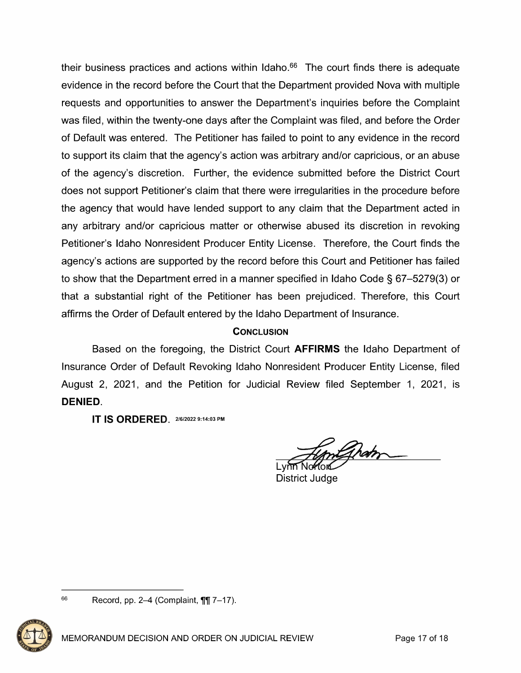their business practices and actions within Idaho. $66$  The court finds there is adequate evidence in the record before the Court that the Department provided Nova with multiple requests and opportunities to answer the Department's inquiries before the Complaint was filed, within the twenty-one days after the Complaint was filed, and before the Order of Default was entered. The Petitioner has failed to point to any evidence in the record to support its claim that the agency's action was arbitrary and/or capricious, or an abuse of the agency's discretion. Further, the evidence submitted before the District Court does not support Petitioner's claim that there were irregularities in the procedure before the agency that would have lended support to any claim that the Department acted in any arbitrary and/or capricious matter or otherwise abused its discretion in revoking Petitioner's Idaho Nonresident Producer Entity License. Therefore, the Court finds the agency's actions are supported by the record before this Court and Petitioner has failed to show that the Department erred in a manner specified in Idaho Code  $\S$  67-5279(3) or that a substantial right of the Petitioner has been prejudiced. Therefore, this Court affirms the Order of Default entered by the Idaho Department of Insurance.

# **CONCLUSION**

Based on the foregoing, the District Court **AFFIRMS** the Idaho Department of Insurance Order of Default Revoking Idaho Nonresident Producer Entity License, filed August 2, 2021, and the Petition for Judicial Review filed September 1, 2021, is DENIED.

IT IS ORDERED\_ 216/2022 9:14:03 PM

Lynn Nehord

District Judge